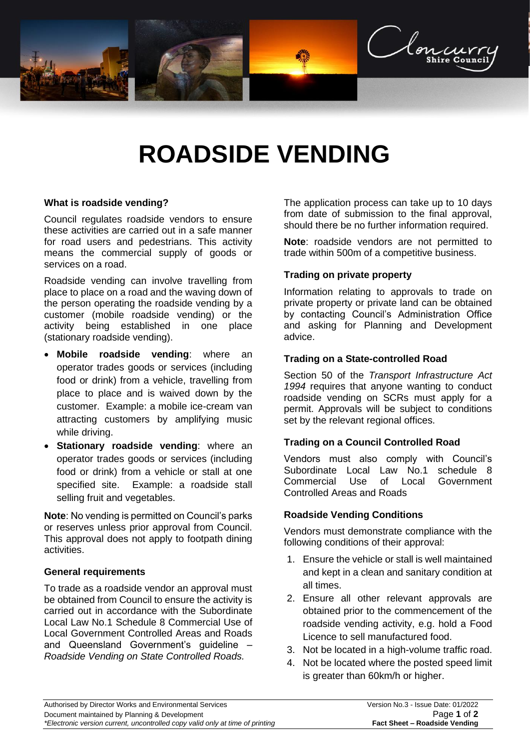

# **ROADSIDE VENDING**

#### **What is roadside vending?**

Council regulates roadside vendors to ensure these activities are carried out in a safe manner for road users and pedestrians. This activity means the commercial supply of goods or services on a road.

Roadside vending can involve travelling from place to place on a road and the waving down of the person operating the roadside vending by a customer (mobile roadside vending) or the activity being established in one place (stationary roadside vending).

- **Mobile roadside vending**: where an operator trades goods or services (including food or drink) from a vehicle, travelling from place to place and is waived down by the customer. Example: a mobile ice-cream van attracting customers by amplifying music while driving.
- **Stationary roadside vending**: where an operator trades goods or services (including food or drink) from a vehicle or stall at one specified site. Example: a roadside stall selling fruit and vegetables.

**Note**: No vending is permitted on Council's parks or reserves unless prior approval from Council. This approval does not apply to footpath dining activities.

#### **General requirements**

To trade as a roadside vendor an approval must be obtained from Council to ensure the activity is carried out in accordance with the Subordinate Local Law No.1 Schedule 8 Commercial Use of Local Government Controlled Areas and Roads and Queensland Government's guideline – *[Roadside Vending on State Controlled Roads.](file://///cloncurry-file01/RedirectedFolders$/jason.alexander/Downloads/Roadside_vending_on_state_roads_guideline.pdf)*

The application process can take up to 10 days from date of submission to the final approval, should there be no further information required.

**Note**: roadside vendors are not permitted to trade within 500m of a competitive business.

#### **Trading on private property**

Information relating to approvals to trade on private property or private land can be obtained by contacting Council's Administration Office and asking for Planning and Development advice.

#### **Trading on a State-controlled Road**

Section 50 of the *Transport Infrastructure Act 1994* requires that anyone wanting to conduct roadside vending on SCRs must apply for a permit. Approvals will be subject to conditions set by the relevant regional offices.

#### **Trading on a Council Controlled Road**

Vendors must also comply with Council's Subordinate Local Law No.1 schedule 8 Commercial Use of Local Government Controlled Areas and Roads

#### **Roadside Vending Conditions**

Vendors must demonstrate compliance with the following conditions of their approval:

- 1. Ensure the vehicle or stall is well maintained and kept in a clean and sanitary condition at all times.
- 2. Ensure all other relevant approvals are obtained prior to the commencement of the roadside vending activity, e.g. hold a Food Licence to sell manufactured food.
- 3. Not be located in a high-volume traffic road.
- 4. Not be located where the posted speed limit is greater than 60km/h or higher.

| Authorised by Director Works and Environmental Services                       | Version No.3 - Issue Date: 01/2022 |
|-------------------------------------------------------------------------------|------------------------------------|
| Document maintained by Planning & Development                                 | Page 1 of 2                        |
| *Electronic version current, uncontrolled copy valid only at time of printing | Fact Sheet – Roadside Vending      |